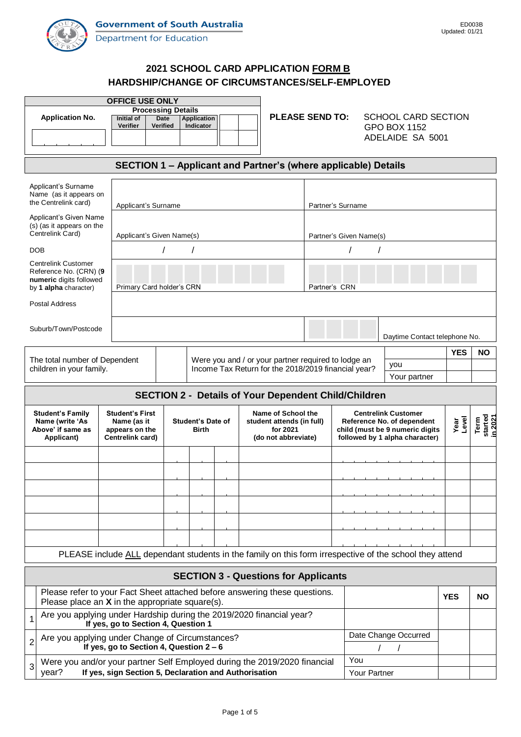

# **2021 SCHOOL CARD APPLICATION FORM B HARDSHIP/CHANGE OF CIRCUMSTANCES/SELF-EMPLOYED**

| <b>OFFICE USE ONLY</b>                                                                                                          |                                                                                                         |                                                                              |                          |                                                     |                                       |  |                                                                                |                                |           |                            |  |  |  |
|---------------------------------------------------------------------------------------------------------------------------------|---------------------------------------------------------------------------------------------------------|------------------------------------------------------------------------------|--------------------------|-----------------------------------------------------|---------------------------------------|--|--------------------------------------------------------------------------------|--------------------------------|-----------|----------------------------|--|--|--|
| <b>Application No.</b>                                                                                                          |                                                                                                         | <b>Processing Details</b><br>Initial of<br><b>Date</b><br><b>Application</b> |                          |                                                     |                                       |  | <b>PLEASE SEND TO:</b>                                                         | <b>SCHOOL CARD SECTION</b>     |           |                            |  |  |  |
|                                                                                                                                 | Verifier                                                                                                | <b>Verified</b>                                                              | Indicator                |                                                     |                                       |  |                                                                                | GPO BOX 1152                   |           |                            |  |  |  |
|                                                                                                                                 |                                                                                                         |                                                                              |                          |                                                     |                                       |  |                                                                                | ADELAIDE SA 5001               |           |                            |  |  |  |
|                                                                                                                                 |                                                                                                         |                                                                              |                          |                                                     |                                       |  |                                                                                |                                |           |                            |  |  |  |
| SECTION 1 - Applicant and Partner's (where applicable) Details                                                                  |                                                                                                         |                                                                              |                          |                                                     |                                       |  |                                                                                |                                |           |                            |  |  |  |
| Applicant's Surname                                                                                                             |                                                                                                         |                                                                              |                          |                                                     |                                       |  |                                                                                |                                |           |                            |  |  |  |
| Name (as it appears on                                                                                                          |                                                                                                         |                                                                              |                          |                                                     |                                       |  |                                                                                |                                |           |                            |  |  |  |
| the Centrelink card)                                                                                                            |                                                                                                         | Applicant's Surname                                                          |                          |                                                     |                                       |  |                                                                                | Partner's Surname              |           |                            |  |  |  |
| Applicant's Given Name<br>(s) (as it appears on the                                                                             |                                                                                                         |                                                                              |                          |                                                     |                                       |  |                                                                                |                                |           |                            |  |  |  |
| Centrelink Card)                                                                                                                |                                                                                                         | Applicant's Given Name(s)                                                    |                          |                                                     |                                       |  |                                                                                | Partner's Given Name(s)        |           |                            |  |  |  |
| <b>DOB</b>                                                                                                                      |                                                                                                         |                                                                              |                          |                                                     |                                       |  |                                                                                |                                |           |                            |  |  |  |
| <b>Centrelink Customer</b><br>Reference No. (CRN) (9                                                                            |                                                                                                         |                                                                              |                          |                                                     |                                       |  |                                                                                |                                |           |                            |  |  |  |
| numeric digits followed                                                                                                         |                                                                                                         |                                                                              |                          |                                                     |                                       |  |                                                                                |                                |           |                            |  |  |  |
| by 1 alpha character)                                                                                                           | Primary Card holder's CRN                                                                               |                                                                              |                          |                                                     |                                       |  | Partner's CRN                                                                  |                                |           |                            |  |  |  |
| <b>Postal Address</b>                                                                                                           |                                                                                                         |                                                                              |                          |                                                     |                                       |  |                                                                                |                                |           |                            |  |  |  |
| Suburb/Town/Postcode                                                                                                            |                                                                                                         |                                                                              |                          |                                                     |                                       |  |                                                                                |                                |           |                            |  |  |  |
|                                                                                                                                 |                                                                                                         |                                                                              |                          |                                                     |                                       |  |                                                                                | Daytime Contact telephone No.  |           |                            |  |  |  |
|                                                                                                                                 |                                                                                                         |                                                                              |                          |                                                     |                                       |  |                                                                                | <b>YES</b>                     | <b>NO</b> |                            |  |  |  |
| Were you and / or your partner required to lodge an<br>The total number of Dependent<br>children in your family.                |                                                                                                         |                                                                              |                          | Income Tax Return for the 2018/2019 financial year? |                                       |  | you                                                                            |                                |           |                            |  |  |  |
|                                                                                                                                 |                                                                                                         |                                                                              |                          |                                                     |                                       |  | Your partner                                                                   |                                |           |                            |  |  |  |
| <b>SECTION 2 - Details of Your Dependent Child/Children</b>                                                                     |                                                                                                         |                                                                              |                          |                                                     |                                       |  |                                                                                |                                |           |                            |  |  |  |
| <b>Student's Family</b>                                                                                                         | <b>Student's First</b>                                                                                  |                                                                              |                          |                                                     | Name of School the                    |  | <b>Centrelink Customer</b>                                                     |                                |           |                            |  |  |  |
| Name (write 'As<br>Above' if same as                                                                                            | Name (as it                                                                                             |                                                                              | <b>Student's Date of</b> |                                                     | student attends (in full)<br>for 2021 |  | Year<br>Level<br>Reference No. of dependent<br>child (must be 9 numeric digits |                                |           | Term<br>started<br>in 2021 |  |  |  |
| Applicant)                                                                                                                      | Centrelink card)                                                                                        | appears on the<br><b>Birth</b>                                               |                          |                                                     | (do not abbreviate)                   |  |                                                                                | followed by 1 alpha character) |           |                            |  |  |  |
|                                                                                                                                 |                                                                                                         |                                                                              |                          |                                                     |                                       |  |                                                                                |                                |           |                            |  |  |  |
|                                                                                                                                 |                                                                                                         |                                                                              |                          |                                                     |                                       |  |                                                                                |                                |           |                            |  |  |  |
|                                                                                                                                 |                                                                                                         |                                                                              |                          |                                                     |                                       |  |                                                                                |                                |           |                            |  |  |  |
|                                                                                                                                 |                                                                                                         |                                                                              |                          |                                                     |                                       |  |                                                                                |                                |           |                            |  |  |  |
|                                                                                                                                 |                                                                                                         |                                                                              |                          |                                                     |                                       |  |                                                                                |                                |           |                            |  |  |  |
|                                                                                                                                 |                                                                                                         |                                                                              |                          |                                                     |                                       |  |                                                                                |                                |           |                            |  |  |  |
|                                                                                                                                 |                                                                                                         |                                                                              |                          |                                                     |                                       |  |                                                                                |                                |           |                            |  |  |  |
|                                                                                                                                 |                                                                                                         |                                                                              |                          |                                                     |                                       |  |                                                                                |                                |           |                            |  |  |  |
|                                                                                                                                 | PLEASE include ALL dependant students in the family on this form irrespective of the school they attend |                                                                              |                          |                                                     |                                       |  |                                                                                |                                |           |                            |  |  |  |
| <b>SECTION 3 - Questions for Applicants</b>                                                                                     |                                                                                                         |                                                                              |                          |                                                     |                                       |  |                                                                                |                                |           |                            |  |  |  |
| Please refer to your Fact Sheet attached before answering these questions.<br>Please place an $X$ in the appropriate square(s). |                                                                                                         |                                                                              |                          |                                                     |                                       |  |                                                                                | <b>YES</b>                     | <b>NO</b> |                            |  |  |  |
| Are you applying under Hardship during the 2019/2020 financial year?<br>If yes, go to Section 4, Question 1                     |                                                                                                         |                                                                              |                          |                                                     |                                       |  |                                                                                |                                |           |                            |  |  |  |
| Are you applying under Change of Circumstances?                                                                                 |                                                                                                         |                                                                              |                          |                                                     |                                       |  | Date Change Occurred                                                           |                                |           |                            |  |  |  |
|                                                                                                                                 |                                                                                                         |                                                                              |                          |                                                     |                                       |  |                                                                                |                                |           |                            |  |  |  |
| 2                                                                                                                               | If yes, go to Section 4, Question 2 - 6                                                                 |                                                                              |                          |                                                     |                                       |  |                                                                                |                                |           |                            |  |  |  |
| Were you and/or your partner Self Employed during the 2019/2020 financial<br>3                                                  |                                                                                                         |                                                                              |                          |                                                     |                                       |  | You                                                                            |                                |           |                            |  |  |  |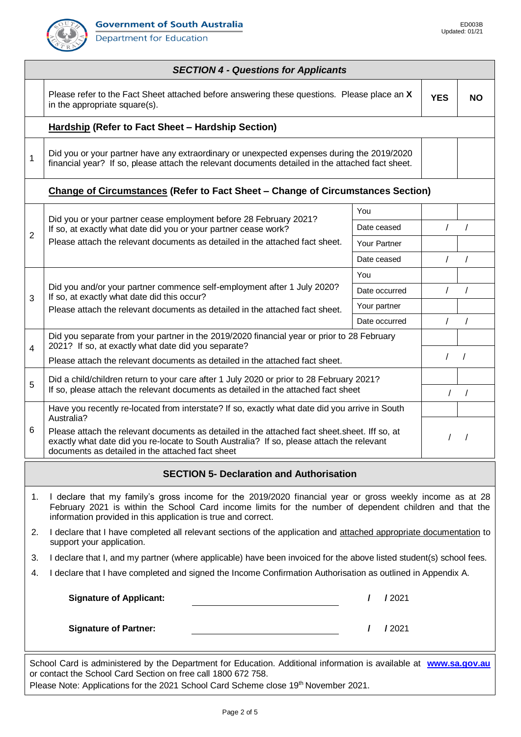**Department for Education** 



|    | <b>SECTION 4 - Questions for Applicants</b>                                                                                                                                                                                                                                          |               |            |           |  |  |  |  |  |  |  |
|----|--------------------------------------------------------------------------------------------------------------------------------------------------------------------------------------------------------------------------------------------------------------------------------------|---------------|------------|-----------|--|--|--|--|--|--|--|
|    | Please refer to the Fact Sheet attached before answering these questions. Please place an X<br>in the appropriate square(s).                                                                                                                                                         |               | <b>YES</b> | <b>NO</b> |  |  |  |  |  |  |  |
|    | <b>Hardship (Refer to Fact Sheet - Hardship Section)</b>                                                                                                                                                                                                                             |               |            |           |  |  |  |  |  |  |  |
| 1  | Did you or your partner have any extraordinary or unexpected expenses during the 2019/2020<br>financial year? If so, please attach the relevant documents detailed in the attached fact sheet.                                                                                       |               |            |           |  |  |  |  |  |  |  |
|    | <b>Change of Circumstances (Refer to Fact Sheet - Change of Circumstances Section)</b>                                                                                                                                                                                               |               |            |           |  |  |  |  |  |  |  |
|    |                                                                                                                                                                                                                                                                                      | You           |            |           |  |  |  |  |  |  |  |
|    | Did you or your partner cease employment before 28 February 2021?<br>If so, at exactly what date did you or your partner cease work?                                                                                                                                                 | Date ceased   | $\prime$   | $\prime$  |  |  |  |  |  |  |  |
| 2  | Please attach the relevant documents as detailed in the attached fact sheet.                                                                                                                                                                                                         | Your Partner  |            |           |  |  |  |  |  |  |  |
|    |                                                                                                                                                                                                                                                                                      | Date ceased   | $\sqrt{2}$ | $\prime$  |  |  |  |  |  |  |  |
|    |                                                                                                                                                                                                                                                                                      | You           |            |           |  |  |  |  |  |  |  |
| 3  | Did you and/or your partner commence self-employment after 1 July 2020?                                                                                                                                                                                                              | Date occurred | $\prime$   | $\prime$  |  |  |  |  |  |  |  |
|    | If so, at exactly what date did this occur?<br>Please attach the relevant documents as detailed in the attached fact sheet.                                                                                                                                                          | Your partner  |            |           |  |  |  |  |  |  |  |
|    |                                                                                                                                                                                                                                                                                      | Date occurred | $\prime$   | $\prime$  |  |  |  |  |  |  |  |
| 4  | Did you separate from your partner in the 2019/2020 financial year or prior to 28 February<br>2021? If so, at exactly what date did you separate?                                                                                                                                    |               |            |           |  |  |  |  |  |  |  |
|    | Please attach the relevant documents as detailed in the attached fact sheet.                                                                                                                                                                                                         |               | $\prime$   | $\prime$  |  |  |  |  |  |  |  |
| 5  | Did a child/children return to your care after 1 July 2020 or prior to 28 February 2021?<br>If so, please attach the relevant documents as detailed in the attached fact sheet                                                                                                       |               |            |           |  |  |  |  |  |  |  |
|    | Have you recently re-located from interstate? If so, exactly what date did you arrive in South<br>Australia?                                                                                                                                                                         |               |            |           |  |  |  |  |  |  |  |
| 6  | Please attach the relevant documents as detailed in the attached fact sheet. Sheet. Iff so, at<br>exactly what date did you re-locate to South Australia? If so, please attach the relevant<br>documents as detailed in the attached fact sheet                                      |               |            | $\prime$  |  |  |  |  |  |  |  |
|    | <b>SECTION 5- Declaration and Authorisation</b>                                                                                                                                                                                                                                      |               |            |           |  |  |  |  |  |  |  |
| 1. | I declare that my family's gross income for the 2019/2020 financial year or gross weekly income as at 28<br>February 2021 is within the School Card income limits for the number of dependent children and that the<br>information provided in this application is true and correct. |               |            |           |  |  |  |  |  |  |  |
| 2. | I declare that I have completed all relevant sections of the application and attached appropriate documentation to<br>support your application.                                                                                                                                      |               |            |           |  |  |  |  |  |  |  |
| 3. | I declare that I, and my partner (where applicable) have been invoiced for the above listed student(s) school fees.                                                                                                                                                                  |               |            |           |  |  |  |  |  |  |  |
| 4. | I declare that I have completed and signed the Income Confirmation Authorisation as outlined in Appendix A.                                                                                                                                                                          |               |            |           |  |  |  |  |  |  |  |
|    | <b>Signature of Applicant:</b>                                                                                                                                                                                                                                                       | 12021         |            |           |  |  |  |  |  |  |  |
|    | <b>Signature of Partner:</b>                                                                                                                                                                                                                                                         | 12021         |            |           |  |  |  |  |  |  |  |
|    | School Card is administered by the Department for Education. Additional information is available at www.sa.gov.au<br>or contact the School Card Section on free call 1800 672 758.<br>Please Note: Applications for the 2021 School Card Scheme close 19th November 2021.            |               |            |           |  |  |  |  |  |  |  |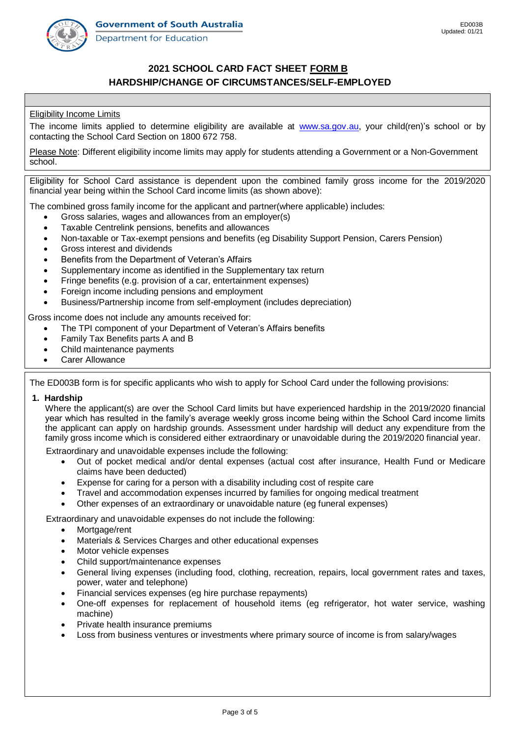Department for Education



## **2021 SCHOOL CARD FACT SHEET FORM B HARDSHIP/CHANGE OF CIRCUMSTANCES/SELF-EMPLOYED**

### Eligibility Income Limits

The income limits applied to determine eligibility are available at [www.sa.gov.au,](http://www.sa.gov.au/) your child(ren)'s school or by contacting the School Card Section on 1800 672 758.

Please Note: Different eligibility income limits may apply for students attending a Government or a Non-Government school.

Eligibility for School Card assistance is dependent upon the combined family gross income for the 2019/2020 financial year being within the School Card income limits (as shown above):

The combined gross family income for the applicant and partner(where applicable) includes:

- Gross salaries, wages and allowances from an employer(s)
- Taxable Centrelink pensions, benefits and allowances
- Non-taxable or Tax-exempt pensions and benefits (eg Disability Support Pension, Carers Pension)
- Gross interest and dividends
- Benefits from the Department of Veteran's Affairs
- Supplementary income as identified in the Supplementary tax return
- Fringe benefits (e.g. provision of a car, entertainment expenses)
- Foreign income including pensions and employment
- Business/Partnership income from self-employment (includes depreciation)

Gross income does not include any amounts received for:

- The TPI component of your Department of Veteran's Affairs benefits
- Family Tax Benefits parts A and B
- Child maintenance payments
- Carer Allowance

The ED003B form is for specific applicants who wish to apply for School Card under the following provisions:

#### **1. Hardship**

Where the applicant(s) are over the School Card limits but have experienced hardship in the 2019/2020 financial year which has resulted in the family's average weekly gross income being within the School Card income limits the applicant can apply on hardship grounds. Assessment under hardship will deduct any expenditure from the family gross income which is considered either extraordinary or unavoidable during the 2019/2020 financial year.

Extraordinary and unavoidable expenses include the following:

- Out of pocket medical and/or dental expenses (actual cost after insurance, Health Fund or Medicare claims have been deducted)
- Expense for caring for a person with a disability including cost of respite care
- Travel and accommodation expenses incurred by families for ongoing medical treatment
- Other expenses of an extraordinary or unavoidable nature (eg funeral expenses)

Extraordinary and unavoidable expenses do not include the following:

- Mortgage/rent
- Materials & Services Charges and other educational expenses
- Motor vehicle expenses
- Child support/maintenance expenses
- General living expenses (including food, clothing, recreation, repairs, local government rates and taxes, power, water and telephone)
- Financial services expenses (eg hire purchase repayments)
- One-off expenses for replacement of household items (eg refrigerator, hot water service, washing machine)
- Private health insurance premiums
- Loss from business ventures or investments where primary source of income is from salary/wages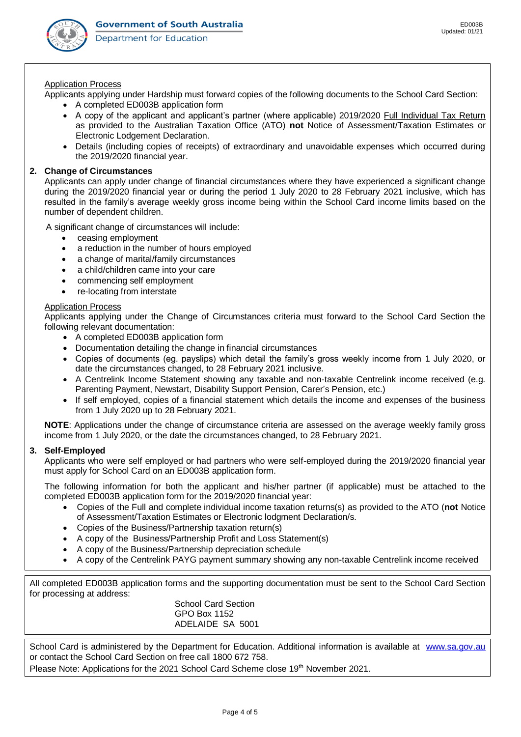

#### Application Process

Applicants applying under Hardship must forward copies of the following documents to the School Card Section:

- A completed ED003B application form
- A copy of the applicant and applicant's partner (where applicable) 2019/2020 Full Individual Tax Return as provided to the Australian Taxation Office (ATO) **not** Notice of Assessment/Taxation Estimates or Electronic Lodgement Declaration.
- Details (including copies of receipts) of extraordinary and unavoidable expenses which occurred during the 2019/2020 financial year.

#### **2. Change of Circumstances**

Applicants can apply under change of financial circumstances where they have experienced a significant change during the 2019/2020 financial year or during the period 1 July 2020 to 28 February 2021 inclusive, which has resulted in the family's average weekly gross income being within the School Card income limits based on the number of dependent children.

A significant change of circumstances will include:

- ceasing employment
- a reduction in the number of hours employed
- a change of marital/family circumstances
- a child/children came into your care
- commencing self employment
- re-locating from interstate

#### Application Process

Applicants applying under the Change of Circumstances criteria must forward to the School Card Section the following relevant documentation:

- A completed ED003B application form
- Documentation detailing the change in financial circumstances
- Copies of documents (eg. payslips) which detail the family's gross weekly income from 1 July 2020, or date the circumstances changed, to 28 February 2021 inclusive.
- A Centrelink Income Statement showing any taxable and non-taxable Centrelink income received (e.g. Parenting Payment, Newstart, Disability Support Pension, Carer's Pension, etc.)
- If self employed, copies of a financial statement which details the income and expenses of the business from 1 July 2020 up to 28 February 2021.

**NOTE**: Applications under the change of circumstance criteria are assessed on the average weekly family gross income from 1 July 2020, or the date the circumstances changed, to 28 February 2021.

### **3. Self-Employed**

Applicants who were self employed or had partners who were self-employed during the 2019/2020 financial year must apply for School Card on an ED003B application form.

The following information for both the applicant and his/her partner (if applicable) must be attached to the completed ED003B application form for the 2019/2020 financial year:

- Copies of the Full and complete individual income taxation returns(s) as provided to the ATO (**not** Notice of Assessment/Taxation Estimates or Electronic lodgment Declaration/s.
- Copies of the Business/Partnership taxation return(s)
- A copy of the Business/Partnership Profit and Loss Statement(s)
- A copy of the Business/Partnership depreciation schedule
- A copy of the Centrelink PAYG payment summary showing any non-taxable Centrelink income received

All completed ED003B application forms and the supporting documentation must be sent to the School Card Section for processing at address:

School Card Section GPO Box 1152 ADELAIDE SA 5001

School Card is administered by the Department for Education. Additional information is available at www.sa.gov.au or contact the School Card Section on free call 1800 672 758.

Please Note: Applications for the 2021 School Card Scheme close 19th November 2021.